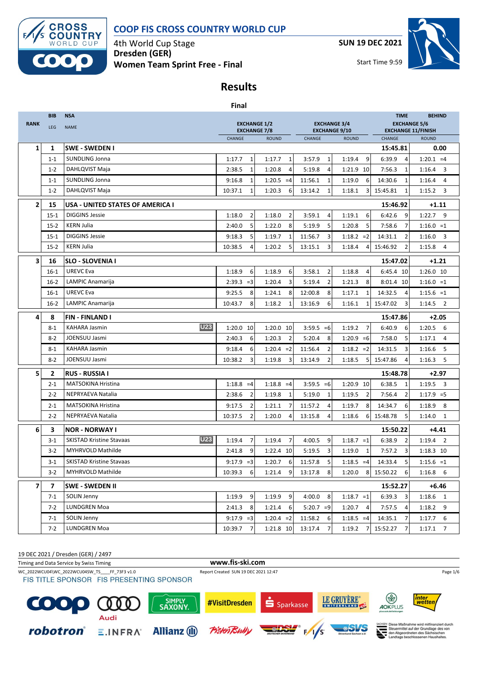

4th World Cup Stage **Dresden (GER) Women Team Sprint Free - Final** **SUN 19 DEC 2021**



Start Time 9:59

## **Results**

|                          |            |                                         | <b>Final</b>                               |              |                |                                             |                          |                                                  |                          |  |
|--------------------------|------------|-----------------------------------------|--------------------------------------------|--------------|----------------|---------------------------------------------|--------------------------|--------------------------------------------------|--------------------------|--|
|                          | <b>BIB</b> | <b>NSA</b>                              |                                            |              |                |                                             |                          | <b>TIME</b>                                      | <b>BEHIND</b>            |  |
| <b>RANK</b>              | LEG        | <b>NAME</b>                             | <b>EXCHANGE 1/2</b><br><b>EXCHANGE 7/8</b> |              |                | <b>EXCHANGE 3/4</b><br><b>EXCHANGE 9/10</b> |                          | <b>EXCHANGE 5/6</b><br><b>EXCHANGE 11/FINISH</b> |                          |  |
|                          |            |                                         | CHANGE                                     | <b>ROUND</b> |                | CHANGE                                      | <b>ROUND</b>             | CHANGE                                           | <b>ROUND</b>             |  |
| $\mathbf{1}$             | 1          | <b>SWE - SWEDEN I</b>                   |                                            |              |                |                                             |                          | 15:45.81                                         | 0.00                     |  |
|                          | $1 - 1$    | <b>SUNDLING Jonna</b>                   | $\mathbf{1}$<br>1:17.7                     | 1:17.7       | $\mathbf{1}$   | 3:57.9<br>$\mathbf{1}$                      | 9<br>1:19.4              | 6:39.9<br>$\overline{4}$                         | $1:20.1 = 4$             |  |
|                          | $1 - 2$    | DAHLQVIST Maja                          | 2:38.5<br>1                                | 1:20.8       | 4              | 5:19.8<br>4                                 | 1:21.9 10                | 7:56.3<br>1                                      | 1:16.4<br>3              |  |
|                          | $1 - 1$    | SUNDLING Jonna                          | 9:16.8<br>$\mathbf{1}$                     | $1:20.5 = 4$ |                | 11:56.1<br>1                                | 1:19.0<br>6              | 14:30.6<br>1                                     | 1:16.4<br>$\overline{4}$ |  |
|                          | $1 - 2$    | DAHLQVIST Maja                          | 10:37.1<br>1                               | 1:20.3       | 6              | 13:14.2<br>1                                | 1:18.1<br>3              | 15:45.81<br>1                                    | 1:15.2<br>3              |  |
| $\overline{2}$           | 15         | <b>USA - UNITED STATES OF AMERICA I</b> |                                            |              |                |                                             |                          | 15:46.92                                         | $+1.11$                  |  |
|                          | $15 - 1$   | <b>DIGGINS Jessie</b>                   | 1:18.0<br>2                                | 1:18.0       | $\overline{2}$ | 3:59.1<br>4                                 | 1:19.1<br>6              | 6:42.6<br>9                                      | 1:22.7<br>9              |  |
|                          | $15-2$     | <b>KERN Julia</b>                       | 5<br>2:40.0                                | 1:22.0       | 8              | 5<br>5:19.9                                 | 1:20.8<br>5              | 7:58.6<br>7                                      | $1:16.0 = 1$             |  |
|                          | $15 - 1$   | <b>DIGGINS Jessie</b>                   | 5<br>9:18.3                                | 1:19.7       | 1              | 11:56.7<br>3                                | $1:18.2 = 2$             | 14:31.1<br>2                                     | 1:16.0<br>3              |  |
|                          | $15-2$     | <b>KERN Julia</b>                       | 10:38.5<br>$\overline{4}$                  | 1:20.2       | 5              | 13:15.1<br>3                                | 1:18.4<br>4              | 15:46.92<br>2                                    | 1:15.8<br>$\overline{4}$ |  |
| 3                        | 16         | <b>SLO - SLOVENIA I</b>                 |                                            |              |                |                                             |                          | 15:47.02                                         | $+1.21$                  |  |
|                          | $16-1$     | <b>UREVC Eva</b>                        | 1:18.9<br>6                                | 1:18.9       | 6              | 3:58.1<br>$\overline{2}$                    | 1:18.8<br>4              | 6:45.4 10                                        | 1:26.0 10                |  |
|                          | $16-2$     | LAMPIC Anamarija                        | $2:39.3 = 3$                               | 1:20.4       | 3              | 5:19.4<br>$\overline{2}$                    | 8<br>1:21.3              | 8:01.4 10                                        | $1:16.0 = 1$             |  |
|                          | $16-1$     | <b>UREVC Eva</b>                        | 9:25.5<br>8                                | 1:24.1       | 8              | 12:00.8<br>8                                | 1:17.1<br>1              | 14:32.5<br>4                                     | $1:15.6 = 1$             |  |
|                          | $16-2$     | LAMPIC Anamarija                        | 8<br>10:43.7                               | 1:18.2       | $\mathbf{1}$   | 6<br>13:16.9                                | 1:16.1<br>1              | 15:47.02<br>3                                    | $1:14.5$ 2               |  |
| 4                        | 8          | <b>FIN-FINLAND I</b>                    |                                            |              |                |                                             |                          | 15:47.86                                         | $+2.05$                  |  |
|                          | 8-1        | U23<br><b>KAHARA Jasmin</b>             | 1:20.0 10                                  | 1:20.0 10    |                | $3:59.5 = 6$                                | $\overline{7}$<br>1:19.2 | 6:40.9<br>6                                      | $1:20.5$ 6               |  |
|                          | $8-2$      | JOENSUU Jasmi                           | 2:40.3<br>6                                | 1:20.3       | $\overline{2}$ | 8<br>5:20.4                                 | $1:20.9 = 6$             | 5<br>7:58.0                                      | 1:17.1<br>$\overline{4}$ |  |
|                          | $8 - 1$    | <b>KAHARA Jasmin</b>                    | 9:18.4<br>6                                | $1:20.4 = 2$ |                | 11:56.4<br>$\overline{2}$                   | $1:18.2 = 2$             | 14:31.5<br>3                                     | 5<br>1:16.6              |  |
|                          | $8 - 2$    | JOENSUU Jasmi                           | 10:38.2<br>3                               | 1:19.8       | 3              | 13:14.9<br>2                                | 1:18.5<br>5              | 15:47.86                                         | 5<br>1:16.3              |  |
| 5                        | 2          | <b>RUS - RUSSIA I</b>                   |                                            |              |                |                                             |                          | 15:48.78                                         | +2.97                    |  |
|                          | $2 - 1$    | <b>MATSOKINA Hristina</b>               | $1:18.8 = 4$                               | $1:18.8 = 4$ |                | $3:59.5 = 6$                                | 1:20.9 10                | 6:38.5<br>1                                      | 1:19.5<br>3              |  |
|                          | $2 - 2$    | NEPRYAEVA Natalia                       | $\overline{2}$<br>2:38.6                   | 1:19.8       | 1              | 5:19.0<br>1                                 | 1:19.5<br>$\overline{2}$ | 7:56.4<br>$\overline{2}$                         | $1:17.9 = 5$             |  |
|                          | $2 - 1$    | <b>MATSOKINA Hristina</b>               | $\overline{2}$<br>9:17.5                   | 1:21.1       | $\overline{7}$ | 11:57.2<br>4                                | 8<br>1:19.7              | 14:34.7<br>6                                     | 1:18.9<br>-8             |  |
|                          | $2 - 2$    | NEPRYAEVA Natalia                       | 10:37.5<br>$\overline{2}$                  | 1:20.0       | $\overline{4}$ | 13:15.8<br>4                                | 1:18.6<br>6              | 15:48.78<br>5                                    | 1:14.0<br>1              |  |
| 6                        | 3          | <b>NOR - NORWAY I</b>                   |                                            |              |                |                                             |                          | 15:50.22                                         | $+4.41$                  |  |
|                          | $3 - 1$    | U23<br><b>SKISTAD Kristine Stavaas</b>  | 1:19.4<br>$\overline{7}$                   | 1:19.4       | $\overline{7}$ | 4:00.5<br>9                                 | $1:18.7 = 1$             | 6:38.9<br>$\overline{2}$                         | $1:19.4$ 2               |  |
|                          | $3-2$      | <b>MYHRVOLD Mathilde</b>                | 2:41.8<br>9                                | 1:22.4 10    |                | 5:19.5<br>3                                 | 1:19.0<br>1              | 7:57.2<br>3                                      | 1:18.3 10                |  |
|                          | $3-1$      | <b>SKISTAD Kristine Stavaas</b>         | $9:17.9 = 3$                               | 1:20.7       | 6              | 5<br>11:57.8                                | $1:18.5 = 4$             | 14:33.4<br>5                                     | $1:15.6 = 1$             |  |
|                          | $3-2$      | MYHRVOLD Mathilde                       | 10:39.3<br>6                               | 1:21.4       | 9              | 13:17.8<br>8                                | 1:20.0<br>8              | 15:50.22<br>6                                    | $1:16.8$ 6               |  |
| $\overline{\phantom{a}}$ | 7          | <b>SWE - SWEDEN II</b>                  |                                            |              |                |                                             |                          | 15:52.27                                         | $+6.46$                  |  |
|                          | $7 - 1$    | SOLIN Jenny                             | 1:19.9<br>9                                | 1:19.9       | 9              | 4:00.0<br>8                                 | $1:18.7 = 1$             | $6:39.3$ 3                                       | $1:18.6$ 1               |  |
|                          | $7-2$      | LUNDGREN Moa                            | 2:41.3<br>8                                | 1:21.4       | 6              | $5:20.7 = 9$                                | 1:20.7<br>4              | 7:57.5<br>4                                      | $1:18.2$ 9               |  |
|                          | $7 - 1$    | SOLIN Jenny                             | $9:17.9 = 3$                               | $1:20.4 = 2$ |                | 11:58.2<br>6                                | $1:18.5 = 4$             | 14:35.1<br>$\overline{7}$                        | $1:17.7$ 6               |  |
|                          | $7 - 2$    | LUNDGREN Moa                            | 10:39.7<br>$\overline{7}$                  | 1:21.8 10    |                | 13:17.4 7                                   | 1:19.2<br>$\overline{7}$ | 15:52.27 7                                       | $1:17.1$ 7               |  |

19 DEC 2021 / Dresden (GER) / 2497

Timing and Data Service by Swiss Timing **www.fis-ski.com**

WC\_2022WCU04\WC\_2022WCU04SW\_TS\_\_\_\_FF\_73F3 v1.0 Report Created SUN 19 DEC 2021 12:47 Page 1/6 Page 1/6 Page 1/6<br>FIS TITLE SPONSOR FIS PRESENTING SPONSOR

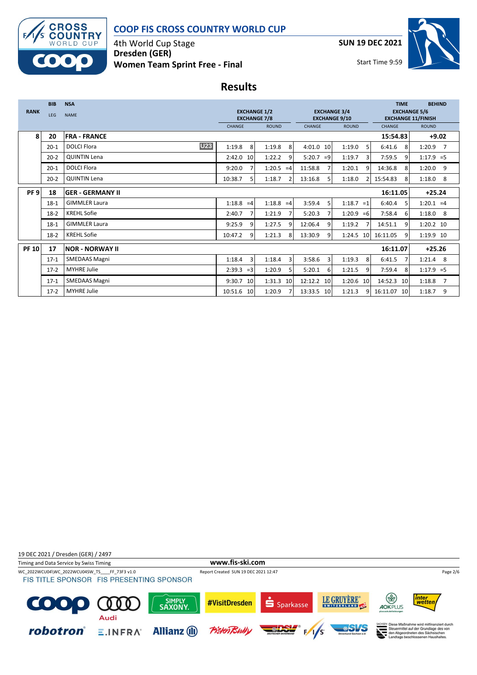

4th World Cup Stage **Dresden (GER) Women Team Sprint Free - Final** **SUN 19 DEC 2021**



Start Time 9:59

## **Results**

|                 | <b>BIB</b> | <b>NSA</b>                       |                                            |                          |                                             |                          | <b>TIME</b>                                      | <b>BEHIND</b>            |
|-----------------|------------|----------------------------------|--------------------------------------------|--------------------------|---------------------------------------------|--------------------------|--------------------------------------------------|--------------------------|
| <b>RANK</b>     | <b>LEG</b> | <b>NAME</b>                      | <b>EXCHANGE 1/2</b><br><b>EXCHANGE 7/8</b> |                          | <b>EXCHANGE 3/4</b><br><b>EXCHANGE 9/10</b> |                          | <b>EXCHANGE 5/6</b><br><b>EXCHANGE 11/FINISH</b> |                          |
|                 |            |                                  | CHANGE                                     | <b>ROUND</b>             | <b>CHANGE</b>                               | <b>ROUND</b>             | CHANGE                                           | <b>ROUND</b>             |
| 8               | 20         | <b>FRA - FRANCE</b>              |                                            |                          |                                             |                          | 15:54.83                                         | $+9.02$                  |
|                 | $20 - 1$   | <b>U23</b><br><b>DOLCI Flora</b> | 8<br>1:19.8                                | 1:19.8<br>8              | 4:01.0<br>10                                | 1:19.0<br>5              | 6:41.6<br>8                                      | $1:20.9$ 7               |
|                 | $20 - 2$   | <b>QUINTIN Lena</b>              | 2:42.0<br>10                               | 1:22.2<br>9              | 5:20.7<br>$=9$                              | 1:19.7<br>3              | 7:59.5<br>9                                      | $1:17.9 = 5$             |
|                 | $20 - 1$   | <b>DOLCI Flora</b>               | 9:20.0                                     | 1:20.5<br>$=4$           | 11:58.8                                     | 1:20.1<br>9              | 14:36.8<br>8                                     | 1:20.0<br>9              |
|                 | $20 - 2$   | <b>QUINTIN Lena</b>              | 10:38.7<br>5                               | 1:18.7<br>$\mathcal{P}$  | 13:16.8<br>5                                | 1:18.0<br>$\overline{2}$ | 15:54.83<br>8                                    | 1:18.0<br>8              |
| PF <sub>9</sub> | 18         | IGER - GERMANY II                |                                            |                          |                                             |                          | 16:11.05                                         | $+25.24$                 |
|                 | $18-1$     | <b>GIMMLER Laura</b>             | 1:18.8<br>$=4$                             | $1:18.8 = 4$             | 3:59.4<br>5                                 | 1:18.7<br>$=1$           | 6:40.4<br>5                                      | $1:20.1 = 4$             |
|                 | $18-2$     | <b>KREHL Sofie</b>               | 2:40.7                                     | 1:21.9<br>$\overline{7}$ | 5:20.3                                      | 1:20.9<br>$=6$           | 7:58.4<br>6                                      | $1:18.0$ 8               |
|                 | $18-1$     | <b>GIMMLER Laura</b>             | 9:25.9<br>$\mathbf{q}$                     | 1:27.5<br>q              | 12:06.4<br>q                                | 1:19.2<br>7              | 14:51.1<br>q                                     | 1:20.2 10                |
|                 | $18-2$     | <b>KREHL Sofie</b>               | 10:47.2<br>q                               | 1:21.3<br>8              | 13:30.9<br>q                                | 1:24.5<br>10             | 16:11.05<br>$\mathbf{q}$                         | 1:19.9 10                |
| <b>PF 10</b>    | 17         | INOR - NORWAY II                 |                                            |                          |                                             |                          | 16:11.07                                         | $+25.26$                 |
|                 | $17-1$     | <b>SMEDAAS Magni</b>             | 3<br>1:18.4                                | 3<br>1:18.4              | 3:58.6<br>3                                 | 1:19.3<br>8              | 6:41.5<br>7                                      | 1:21.4<br>8              |
|                 | $17-2$     | <b>MYHRE Julie</b>               | 2:39.3<br>$=3$                             | 1:20.9<br>5              | 5:20.1<br>6                                 | 1:21.5<br>9              | 7:59.4<br>8                                      | $1:17.9 = 5$             |
|                 | $17-1$     | <b>SMEDAAS Magni</b>             | 9:30.7<br>10                               | 1:31.3<br>10             | 12:12.2<br>10                               | 1:20.6<br>10             | 14:52.3<br>10                                    | 1:18.8<br>$\overline{7}$ |
|                 | $17-2$     | <b>MYHRE Julie</b>               | 10:51.6 10                                 | 1:20.9                   | 13:33.5 10                                  | 1:21.3<br>9              | 16:11.07 10                                      | 9<br>1:18.7              |

19 DEC 2021 / Dresden (GER) / 2497 Timing and Data Service by Swiss Timing **www.fis-ski.com** WC\_2022WCU04\WC\_2022WCU04SW\_TS\_\_\_\_FF\_73F3 v1.0 Report Created SUN 19 DEC 2021 12:47 Page 2/6 Page 2/6 Page 2/6<br>FIS TITLE SPONSOR FIS PRESENTING SPONSOR LE GRUYÈRE\* த inter<br>wettei SIMPLY<br>SAXONY #VisitDresden C Sparkasse  $\bf{0}$  $0<sub>0</sub>$ AOKPLUS Audi SEN Diese Maßnahme wird mitfinanziert durch<br>Steuermittel auf der Grundlage des von<br>den Abgeordneten des Sächsischen<br>Landtags beschlossenen Haushaltes. robotron® **Allianz** (II) **Pistent**  $E.INFRA$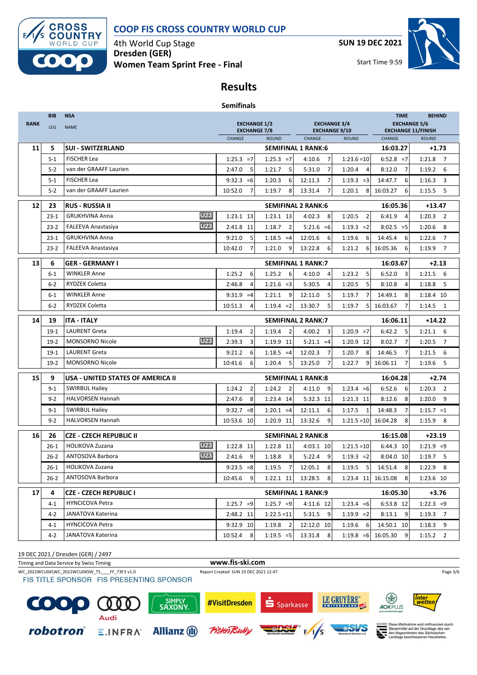

4th World Cup Stage **Dresden (GER) Women Team Sprint Free - Final** **SUN 19 DEC 2021**



Start Time 9:59

## **Results**

| <b>Semifinals</b> |  |
|-------------------|--|
|-------------------|--|

|             | <b>BIB</b> | <b>NSA</b>                              |                                            |                          |                                             |                          | <b>TIME</b>                | <b>BEHIND</b>                      |  |
|-------------|------------|-----------------------------------------|--------------------------------------------|--------------------------|---------------------------------------------|--------------------------|----------------------------|------------------------------------|--|
| <b>RANK</b> | <b>LEG</b> | <b>NAME</b>                             | <b>EXCHANGE 1/2</b><br><b>EXCHANGE 7/8</b> |                          | <b>EXCHANGE 3/4</b><br><b>EXCHANGE 9/10</b> |                          | <b>EXCHANGE 5/6</b>        | <b>EXCHANGE 11/FINISH</b>          |  |
|             |            |                                         | <b>CHANGE</b>                              | <b>ROUND</b>             | CHANGE                                      | <b>ROUND</b>             | <b>CHANGE</b>              | <b>ROUND</b>                       |  |
| 11          | 5          | <b>SUI - SWITZERLAND</b>                |                                            |                          | <b>SEMIFINAL 1 RANK:6</b>                   |                          | 16:03.27                   | $+1.73$                            |  |
|             | $5 - 1$    | <b>FISCHER Lea</b>                      | $1:25.3 = 7$                               | $1:25.3 = 7$             | $\overline{7}$<br>4:10.6                    | $1:23.6=10$              | $6:52.8 = 7$               | 1:21.8<br>$\overline{7}$           |  |
|             | $5 - 2$    | van der GRAAFF Laurien                  | 2:47.0<br>5                                | 1:21.7<br>5              | 5:31.0<br>$\overline{7}$                    | 1:20.4<br>4              | $\overline{7}$<br>8:12.0   | 6<br>1:19.2                        |  |
|             | $5 - 1$    | <b>FISCHER Lea</b>                      | $9:32.3 = 6$                               | 1:20.3<br>6              | $\overline{7}$<br>12:11.3                   | $1:19.3 = 3$             | 14:47.7<br>6               | 1:16.3<br>3                        |  |
|             | $5 - 2$    | van der GRAAFF Laurien                  | 10:52.0<br>$\overline{7}$                  | 1:19.7<br>8              | 13:31.4<br>$\overline{7}$                   | 1:20.1<br>8              | 16:03.27<br>6              | $1:15.5$ 5                         |  |
| 12          | 23         | <b>RUS - RUSSIA II</b>                  |                                            |                          | <b>SEMIFINAL 2 RANK:6</b>                   |                          | 16:05.36                   | $+13.47$                           |  |
|             | $23 - 1$   | <b>U23</b><br><b>GRUKHVINA Anna</b>     | 1:23.1 13                                  | 1:23.1 13                | 4:02.3<br>8                                 | 1:20.5<br>$\overline{2}$ | 6:41.9<br>$\overline{4}$   | 1:20.3<br>$\overline{\phantom{0}}$ |  |
|             | $23 - 2$   | <b>U23</b><br><b>FALEEVA Anastasiya</b> | 2:41.8 11                                  | 1:18.7<br>$\overline{2}$ | $5:21.6 = 6$                                | $1:19.3 = 2$             | $8:02.5 = 5$               | $1:20.6$ 8                         |  |
|             | $23 - 1$   | <b>GRUKHVINA Anna</b>                   | 5<br>9:21.0                                | $1:18.5 = 4$             | 12:01.6<br>6                                | 1:19.6<br>6              | 14:45.4<br>6               | 1:22.6<br>$\overline{7}$           |  |
|             | $23 - 2$   | FALEEVA Anastasiya                      | 10:42.0<br>7                               | 1:21.0<br>9              | 13:22.8<br>6                                | 1:21.2<br>6              | 16:05.36<br>6              | 1:19.9 7                           |  |
| 13          | 6          | <b>GER - GERMANY I</b>                  |                                            |                          | <b>SEMIFINAL 1 RANK:7</b>                   |                          | 16:03.67                   | $+2.13$                            |  |
|             | $6 - 1$    | <b>WINKLER Anne</b>                     | 1:25.2<br>6                                | 1:25.2<br>6              | 4:10.0<br>4                                 | 1:23.2<br>5              | 6:52.0<br>3                | $1:21.5$ 6                         |  |
|             | 6-2        | <b>RYDZEK Coletta</b>                   | 2:46.8<br>4                                | $1:21.6 = 3$             | 5:30.5<br>4                                 | 1:20.5<br>5              | 8:10.8<br>$\overline{4}$   | 1:18.8<br>- 5                      |  |
|             | $6 - 1$    | WINKLER Anne                            | $9:31.9 = 4$                               | 9<br>1:21.1              | 5<br>12:11.0                                | 1:19.7<br>7              | 14:49.1<br>8               | 1:18.4 10                          |  |
|             | $6 - 2$    | <b>RYDZEK Coletta</b>                   | 10:51.3<br>4                               | $1:19.4 = 2$             | 13:30.7<br>5                                | 5<br>1:19.7              | 16:03.67<br>7              | $1:14.5$ 1                         |  |
| 14          | 19         | <b>ITA - ITALY</b>                      |                                            |                          | <b>SEMIFINAL 2 RANK:7</b>                   |                          | 16:06.11                   | $+14.22$                           |  |
|             | $19-1$     | <b>LAURENT Greta</b>                    | $\overline{2}$<br>1:19.4                   | 1:19.4<br>$\overline{2}$ | 4:00.2<br>3                                 | $1:20.9 = 7$             | 6:42.2<br>5                | $1:21.1$ 6                         |  |
|             | $19-2$     | <b>U23</b><br><b>MONSORNO Nicole</b>    | 2:39.3<br>3                                | 1:19.9 11                | $5:21.1 = 4$                                | 1:20.9 12                | $\overline{7}$<br>8:02.7   | $\overline{7}$<br>1:20.5           |  |
|             | $19-1$     | <b>LAURENT Greta</b>                    | 6<br>9:21.2                                | $1:18.5 = 4$             | 7<br>12:02.3                                | 1:20.7<br>8              | 7<br>14:46.5               | 1:21.5<br>6                        |  |
|             | $19-2$     | <b>MONSORNO Nicole</b>                  | 10:41.6<br>6                               | 1:20.4<br>5              | 13:25.0<br>$\overline{7}$                   | 9<br>1:22.7              | 16:06.11<br>$\overline{7}$ | 1:19.6<br>5                        |  |
| 15          | 9          | USA - UNITED STATES OF AMERICA II       |                                            |                          | <b>SEMIFINAL 1 RANK:8</b>                   |                          | 16:04.28                   | $+2.74$                            |  |
|             | $9 - 1$    | <b>SWIRBUL Hailey</b>                   | 1:24.2<br>$\overline{2}$                   | 1:24.2<br>2              | 4:11.0<br>9                                 | $1:23.4 = 6$             | 6:52.6<br>6                | $1:20.3$ 2                         |  |
|             | $9 - 2$    | <b>HALVORSEN Hannah</b>                 | 2:47.6<br>8                                | 1:23.4 14                | 5:32.3 11                                   | 1:21.3 11                | 8:12.6<br>8                | $1:20.0$ 9                         |  |
|             | $9 - 1$    | <b>SWIRBUL Hailey</b>                   | $9:32.7 = 8$                               | $1:20.1 = 4$             | 12:11.1<br>6                                | 1:17.5<br>$\mathbf{1}$   | 14:48.3<br>7               | $1:15.7 = 1$                       |  |
|             | $9 - 2$    | <b>HALVORSEN Hannah</b>                 | 10:53.6 10                                 | 1:20.9 11                | 13:32.6<br>9                                | $1:21.5=10$              | 16:04.28<br>8              | $1:15.9$ 8                         |  |
| 16          | 26         | <b>CZE - CZECH REPUBLIC II</b>          |                                            |                          | <b>SEMIFINAL 2 RANK:8</b>                   |                          | 16:15.08                   | $+23.19$                           |  |
|             | $26-1$     | <b>U23</b><br><b>HOLIKOVA Zuzana</b>    | 1:22.8 11                                  | 1:22.8 11                | 4:03.1 10                                   | $1:21.5=10$              | 6:44.3 10                  | $1:21.9 = 9$                       |  |
|             | $26 - 2$   | <b>U23</b><br>ANTOSOVA Barbora          | 2:41.6<br>9                                | 1:18.8<br>3              | 5:22.4<br>9                                 | $1:19.3 = 2$             | 8:04.0 10                  | $1:19.7$ 5                         |  |
|             | $26-1$     | <b>HOLIKOVA Zuzana</b>                  | $9:23.5 = 8$                               | 1:19.5<br>$\overline{7}$ | 8<br>12:05.1                                | 5<br>1:19.5              | 14:51.4<br>8               | 1:22.9<br>- 8                      |  |
|             | $26 - 2$   | ANTOSOVA Barbora                        | 10:45.6<br>9                               | 1:22.1 11                | 13:28.5<br>8                                | 1:23.4 11                | 16:15.08<br>8              | 1:23.6 10                          |  |
| 17          | 4          | <b>CZE - CZECH REPUBLIC I</b>           |                                            |                          | <b>SEMIFINAL 1 RANK:9</b>                   |                          | 16:05.30                   | $+3.76$                            |  |
|             | 4-1        | <b>HYNCICOVA Petra</b>                  | $1:25.7 = 9$                               | $1:25.7 = 9$             | 4:11.6 12                                   | $1:23.4 = 6$             | 6:53.8 12                  | $1:22.3 = 9$                       |  |
|             | 4-2        | JANATOVA Katerina                       | 2:48.2 11                                  | $1:22.5 = 11$            | 5:31.5<br>- 9                               | $1:19.9 = 2$             | 8:13.1<br>- 9              | $1:19.3$ 7                         |  |
|             | 4-1        | <b>HYNCICOVA Petra</b>                  | 9:32.9 10                                  | $1:19.8$ 2               | 12:12.0 10                                  | 1:19.6<br>6              | 14:50.1 10                 | $1:18.3$ 9                         |  |
|             | 4-2        | JANATOVA Katerina                       | 10:52.4<br>8                               | $1:19.5 = 5$             | 13:31.8<br>8                                | $1:19.8 = 6$             | 16:05.30<br>9              | $1:15.2$ 2                         |  |

19 DEC 2021 / Dresden (GER) / 2497

Timing and Data Service by Swiss Timing **www.fis-ski.com** WC\_2022WCU04\WC\_2022WCU04SW\_TS\_\_\_\_FF\_73F3 v1.0 Report Created SUN 19 DEC 2021 12:47 Page 3/6 Page 3/6 Page 3/6<br>FIS TITLE SPONSOR FIS PRESENTING SPONSOR LE GRUYÈRE\* (ক্স inter<br>wetter SIMPLY<br>SAXONY #VisitDresden C  $\mathbf 0$ S Sparkasse 0 n AOKPLUS



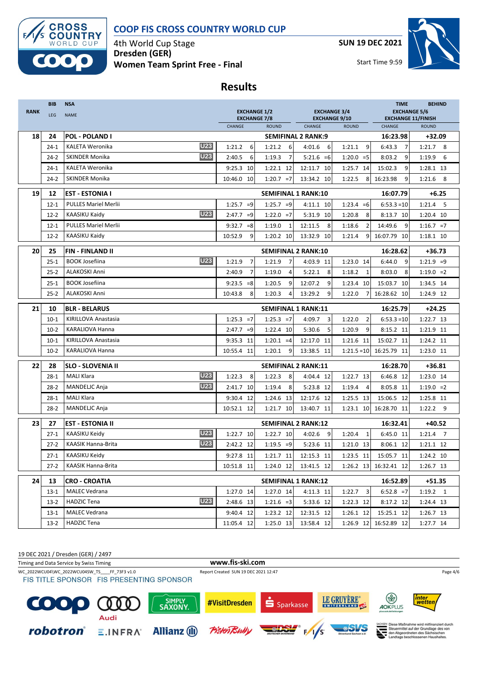

4th World Cup Stage **Dresden (GER) Women Team Sprint Free - Final** **SUN 19 DEC 2021**



Start Time 9:59

## **Results**

| <b>RANK</b> | <b>BIB</b><br>LEG | <b>NSA</b><br><b>NAME</b>                                | <b>EXCHANGE 1/2</b><br><b>EXCHANGE 7/8</b> |                            | <b>EXCHANGE 3/4</b><br><b>EXCHANGE 9/10</b> |                          | <b>TIME</b><br><b>EXCHANGE 5/6</b><br><b>EXCHANGE 11/FINISH</b> | <b>BEHIND</b> |
|-------------|-------------------|----------------------------------------------------------|--------------------------------------------|----------------------------|---------------------------------------------|--------------------------|-----------------------------------------------------------------|---------------|
|             |                   |                                                          | CHANGE                                     | <b>ROUND</b>               | CHANGE                                      | <b>ROUND</b>             | CHANGE                                                          | <b>ROUND</b>  |
| 18          | 24                | <b>POL - POLAND I</b>                                    |                                            |                            | <b>SEMIFINAL 2 RANK:9</b>                   |                          | 16:23.98                                                        | $+32.09$      |
|             | $24-1$            | <b>U23</b><br><b>KALETA Weronika</b>                     | 1:21.2<br>6                                | 6<br>1:21.2                | 4:01.6<br>6                                 | 9<br>1:21.1              | 6:43.3<br>$\overline{7}$                                        | $1:21.7$ 8    |
|             | $24-2$            | <b>U23</b><br><b>SKINDER Monika</b>                      | 2:40.5<br>6                                | $\overline{7}$<br>1:19.3   | $5:21.6 = 6$                                | $1:20.0 = 5$             | 8:03.2<br>9                                                     | 1:19.9<br>6   |
|             | $24-1$            | <b>KALETA Weronika</b>                                   | 9:25.3<br>10                               | 1:22.1 12                  | 12:11.7 10                                  | 1:25.7 14                | 15:02.3<br>9                                                    | 1:28.1 13     |
|             | $24-2$            | <b>SKINDER Monika</b>                                    | 10:46.0 10                                 | $1:20.7 = 7$               | 13:34.2 10                                  | 1:22.5<br>8              | 16:23.98<br>9                                                   | $1:21.6$ 8    |
| 19          | 12                | <b>EST - ESTONIA I</b>                                   |                                            | <b>SEMIFINAL 1 RANK:10</b> |                                             |                          | 16:07.79                                                        | $+6.25$       |
|             | $12 - 1$          | <b>PULLES Mariel Merlii</b>                              | $1:25.7 = 9$                               | $1:25.7 = 9$               | 4:11.1 10                                   | $1:23.4 = 6$             | $6:53.3 = 10$                                                   | $1:21.4$ 5    |
|             | $12 - 2$          | <b>U23</b><br>KAASIKU Kaidy                              | 2:47.7<br>$=9$                             | $1:22.0 = 7$               | 5:31.9 10                                   | 8<br>1:20.8              | 8:13.7 10                                                       | 1:20.4 10     |
|             | $12 - 1$          | <b>PULLES Mariel Merlii</b>                              | 9:32.7<br>$= 8$                            | 1:19.0<br>1                | 12:11.5<br>8                                | 1:18.6<br>$\overline{2}$ | 14:49.6<br>9                                                    | $1:16.7 = 7$  |
|             | $12-2$            | KAASIKU Kaidy                                            | 9<br>10:52.9                               | 1:20.2 10                  | 13:32.9 10                                  | 9<br>1:21.4              | 16:07.79 10                                                     | 1:18.1 10     |
| 20          | 25                | <b>FIN-FINLAND II</b>                                    |                                            | <b>SEMIFINAL 2 RANK:10</b> |                                             |                          | 16:28.62                                                        | +36.73        |
|             | $25 - 1$          | <b>U23</b><br><b>BOOK Josefiina</b>                      | $\overline{7}$<br>1:21.9                   | $\overline{7}$<br>1:21.9   | 4:03.9 11                                   | 1:23.0 14                | 6:44.0<br>9                                                     | $1:21.9 = 9$  |
|             | $25 - 2$          | ALAKOSKI Anni                                            | 2:40.9<br>$\overline{7}$                   | 1:19.0<br>$\overline{4}$   | 5:22.1<br>8                                 | $\mathbf{1}$<br>1:18.2   | 8:03.0<br>8                                                     | $1:19.0 = 2$  |
|             | $25 - 1$          | <b>BOOK Josefiina</b>                                    | 9:23.5<br>$= 8$                            | 1:20.5<br>9                | 12:07.2<br>9                                | 1:23.4 10                | 15:03.7 10                                                      | 1:34.5 14     |
|             | $25 - 2$          | <b>ALAKOSKI Anni</b>                                     | 10:43.8<br>8                               | 1:20.3<br>$\overline{4}$   | 13:29.2<br>9                                | 1:22.0<br>7              | 16:28.62 10                                                     | 1:24.9 12     |
| 21          | 10                | <b>BLR - BELARUS</b>                                     |                                            | <b>SEMIFINAL 1 RANK:11</b> |                                             |                          | 16:25.79                                                        | $+24.25$      |
|             | $10-1$            | KIRILLOVA Anastasia                                      | $1:25.3 = 7$                               | $1:25.3 = 7$               | 3<br>4:09.7                                 | $\overline{2}$<br>1:22.0 | $6:53.3 = 10$                                                   | 1:22.7 13     |
|             | $10-2$            | <b>KARALIOVA Hanna</b>                                   | $2:47.7 = 9$                               | 1:22.4 10                  | 5:30.6<br>5                                 | 9<br>1:20.9              | 8:15.2 11                                                       | 1:21.9 11     |
|             | $10-1$            | KIRILLOVA Anastasia                                      | 9:35.3<br>-11                              | $1:20.1 = 4$               | 12:17.0 11                                  | 1:21.6 11                | 15:02.7 11                                                      | 1:24.2 11     |
|             | $10-2$            | KARALIOVA Hanna                                          | 10:55.4 11                                 | 1:20.1<br>9                | 13:38.5 11                                  | $1:21.5=10$              | 16:25.79 11                                                     | 1:23.0 11     |
| 22          | 28                | <b>SLO - SLOVENIA II</b>                                 |                                            | <b>SEMIFINAL 2 RANK:11</b> |                                             |                          | 16:28.70                                                        | +36.81        |
|             | $28 - 1$          | <b>U23</b><br><b>MALI Klara</b>                          | 8<br>1:22.3                                | 8<br>1:22.3                | 4:04.4 12                                   | 1:22.7 13                | 6:46.8 12                                                       | 1:23.0 14     |
|             | $28-2$            | <b>U23</b><br>MANDELJC Anja                              | 2:41.7 10                                  | 1:19.4<br>8                | 5:23.8 12                                   | 1:19.4<br>4              | 8:05.8 11                                                       | $1:19.0 = 2$  |
|             | $28-1$            | <b>MALI Klara</b>                                        | 9:30.4<br>-12                              | 1:24.6 13                  | 12:17.6 12                                  | 1:25.5 13                | 15:06.5 12                                                      | 1:25.8 11     |
|             | $28-2$            | MANDELJC Anja                                            | 10:52.1 12                                 | 1:21.7 10                  | 13:40.7 11                                  | 1:23.1 10                | 16:28.70 11                                                     | $1:22.2$ 9    |
| 23          | 27                | <b>EST - ESTONIA II</b>                                  |                                            | <b>SEMIFINAL 2 RANK:12</b> |                                             |                          | 16:32.41                                                        | +40.52        |
|             | $27-1$            | <b>U23</b><br>KAASIKU Keidy                              | 1:22.7 10                                  | 1:22.7 10                  | 4:02.6<br>9                                 | 1:20.4<br>$\mathbf{1}$   | 6:45.0 11                                                       | $1:21.4$ 7    |
|             | $27-2$            | <b>U23</b><br><b>KAASIK Hanna-Brita</b>                  | 2:42.2 12                                  | $1:19.5 = 9$               | 5:23.6 11                                   | 1:21.0 13                | 8:06.1 12                                                       | 1:21.1 12     |
|             | $27-1$            | KAASIKU Keidy                                            | 9:27.8 11                                  | 1:21.7 11                  | 12:15.3 11                                  | 1:23.5 11                | 15:05.7 11                                                      | 1:24.2 10     |
|             | $27-2$            | KAASIK Hanna-Brita                                       | 10:51.8 11                                 | 1:24.0 12                  | 13:41.5 12                                  |                          | 1:26.2 13 16:32.41 12                                           | 1:26.7 13     |
|             |                   |                                                          |                                            |                            |                                             |                          |                                                                 |               |
| 24          | 13                | <b>CRO - CROATIA</b>                                     |                                            | <b>SEMIFINAL 1 RANK:12</b> |                                             |                          | 16:52.89                                                        | $+51.35$      |
|             | $13-1$            | <b>MALEC Vedrana</b><br><b>U23</b><br><b>HADZIC Tena</b> | 1:27.0 14                                  | 1:27.0 14                  | 4:11.3 11                                   | $1:22.7$ 3               | $6:52.8 = 7$                                                    | $1:19.2$ 1    |
|             | $13-2$            |                                                          | 2:48.6 13                                  | $1:21.6 = 3$               | 5:33.6 12                                   | 1:22.3 12                | 8:17.2 12                                                       | 1:24.4 13     |
|             | $13-1$            | <b>MALEC Vedrana</b>                                     | 9:40.4 12                                  | 1:23.2 12                  | 12:31.5 12                                  | 1:26.1 12                | 15:25.1 12                                                      | 1:26.7 13     |
|             | $13-2$            | <b>HADZIC Tena</b>                                       | 11:05.4 12                                 | 1:25.0 13                  | 13:58.4 12                                  | 1:26.9 12                | 16:52.89 12                                                     | 1:27.7 14     |

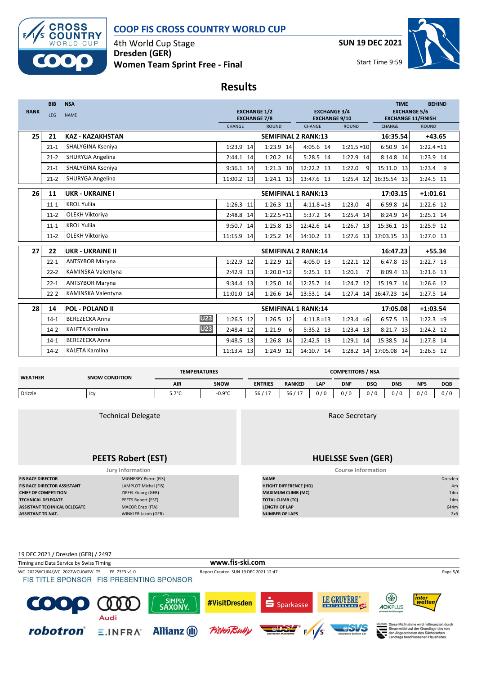

4th World Cup Stage **Dresden (GER) Women Team Sprint Free - Final** **SUN 19 DEC 2021**



**Results**

|             | <b>BIB</b> | <b>NSA</b>                           |                                            |               |                                             |                          | <b>TIME</b>                                      | <b>BEHIND</b> |
|-------------|------------|--------------------------------------|--------------------------------------------|---------------|---------------------------------------------|--------------------------|--------------------------------------------------|---------------|
| <b>RANK</b> | LEG        | <b>NAME</b>                          | <b>EXCHANGE 1/2</b><br><b>EXCHANGE 7/8</b> |               | <b>EXCHANGE 3/4</b><br><b>EXCHANGE 9/10</b> |                          | <b>EXCHANGE 5/6</b><br><b>EXCHANGE 11/FINISH</b> |               |
|             |            |                                      | CHANGE                                     | <b>ROUND</b>  | <b>CHANGE</b>                               | <b>ROUND</b>             | CHANGE                                           | <b>ROUND</b>  |
| 25          | 21         | <b>KAZ - KAZAKHSTAN</b>              |                                            |               | <b>SEMIFINAL 2 RANK:13</b>                  |                          | 16:35.54                                         | $+43.65$      |
|             | $21 - 1$   | SHALYGINA Kseniya                    | 1:23.9 14                                  | 1:23.9 14     | 4:05.6 14                                   | $1:21.5=10$              | 6:50.9 14                                        | $1:22.4 = 11$ |
|             | $21-2$     | SHURYGA Angelina                     | 2:44.1<br>14                               | 1:20.2 14     | 5:28.5 14                                   | 1:22.9 14                | 8:14.8 14                                        | 1:23.9 14     |
|             | $21 - 1$   | SHALYGINA Kseniya                    | 9:36.1 14                                  | 1:21.3 10     | 12:22.2 13                                  | 1:22.0<br>9              | 15:11.0 13                                       | $1:23.4$ 9    |
|             | $21-2$     | SHURYGA Angelina                     | 11:00.2 13                                 | 1:24.1 13     | 13:47.6 13                                  | 1:25.4 12                | 16:35.54 13                                      | 1:24.5 11     |
| 26          | 11         | UKR - UKRAINE I                      |                                            |               | <b>SEMIFINAL 1 RANK:13</b>                  |                          | 17:03.15                                         | $+1:01.61$    |
|             | $11 - 1$   | <b>KROL Yulija</b>                   | 1:26.3 11                                  | $1:26.3$ 11   | $4:11.8=13$                                 | 1:23.0<br>4              | 6:59.8 14                                        | 1:22.6 12     |
|             | $11-2$     | OLEKH Viktoriya                      | 2:48.8 14                                  | $1:22.5 = 11$ | 5:37.2 14                                   | 1:25.4 14                | 8:24.9 14                                        | 1:25.1 14     |
|             | $11 - 1$   | <b>KROL Yulija</b>                   | 9:50.7 14                                  | 1:25.8 13     | 12:42.6 14                                  | 1:26.7 13                | 15:36.1 13                                       | 1:25.9 12     |
|             | $11-2$     | OLEKH Viktoriya                      | 11:15.9<br>14                              | 1:25.2 14     | 14:10.2 13                                  | 1:27.6 13                | 17:03.15 13                                      | 1:27.0 13     |
|             |            |                                      |                                            |               |                                             |                          |                                                  |               |
| 27          | 22         | <b>UKR - UKRAINE II</b>              |                                            |               | <b>SEMIFINAL 2 RANK:14</b>                  |                          | 16:47.23                                         | $+55.34$      |
|             | $22 - 1$   | <b>ANTSYBOR Maryna</b>               | 1:22.9 12                                  | 1:22.9 12     | 4:05.0 13                                   | $1:22.1$ 12              | 6:47.8 13                                        | $1:22.7$ 13   |
|             | $22 - 2$   | KAMINSKA Valentyna                   | 2:42.9<br>13                               | $1:20.0=12$   | $5:25.1$ 13                                 | 1:20.1<br>$\overline{7}$ | 8:09.4 13                                        | 1:21.6 13     |
|             | $22 - 1$   | <b>ANTSYBOR Maryna</b>               | 9:34.4 13                                  | 1:25.0 14     | 12:25.7 14                                  | 1:24.7 12                | 15:19.7 14                                       | 1:26.6 12     |
|             | $22 - 2$   | KAMINSKA Valentyna                   | 11:01.0<br>14                              | 1:26.6 14     | 13:53.1 14                                  | 1:27.4 14                | 16:47.23 14                                      | 1:27.5 14     |
| 28          | 14         | <b>POL - POLAND II</b>               |                                            |               | <b>SEMIFINAL 1 RANK:14</b>                  |                          | 17:05.08                                         | $+1:03.54$    |
|             | $14-1$     | <b>U23</b><br><b>BEREZECKA Anna</b>  | 1:26.5 12                                  | 1:26.5 12     | $4:11.8=13$                                 | $1:23.4 = 6$             | 6:57.5 13                                        | $1:22.3 = 9$  |
|             | $14-2$     | <b>U23</b><br><b>KALETA Karolina</b> | 2:48.4 12                                  | 1:21.9<br>6   | 5:35.2 13                                   | 1:23.4 13                | 8:21.7 13                                        | 1:24.2 12     |
|             | $14-1$     | <b>BEREZECKA Anna</b>                | 9:48.5 13                                  | 1:26.8 14     | 12:42.5 13                                  | 1:29.1 14                | 15:38.5 14                                       | 1:27.8 14     |
|             | $14-2$     | KALETA Karolina                      | 11:13.4<br>13                              | 1:24.9 12     | 14:10.7 14                                  | 1:28.2 14                | 17:05.08 14                                      | 1:26.5 12     |
|             |            |                                      |                                            |               |                                             |                          |                                                  |               |

| <b>WEATHER</b> | <b>SNOW CONDITION</b> | <b>TEMPERATURES</b> |                  | <b>COMPETITORS / NSA</b> |                                       |       |            |            |            |            |            |
|----------------|-----------------------|---------------------|------------------|--------------------------|---------------------------------------|-------|------------|------------|------------|------------|------------|
|                |                       | <b>AIR</b>          | SNOW             | <b>ENTRIES</b>           | <b>RANKED</b>                         | LAP   | <b>DNF</b> | <b>DSQ</b> | <b>DNS</b> | <b>NPS</b> | <b>DQB</b> |
| Drizzle        | lcy                   | $70^{\circ}$<br>، ب | $-0.9^{\circ}$ C | 56/<br>1.17<br>.         | 56 /<br>$\overline{1}$ $\overline{2}$ | ጋ / ዐ | 0/0        | 0/0        | 0/0        | 0/0        | 0/0        |

| <b>Technical Delegate</b>           |                           | Race Secretary                |                 |  |  |  |
|-------------------------------------|---------------------------|-------------------------------|-----------------|--|--|--|
|                                     | <b>PEETS Robert (EST)</b> | <b>HUELSSE Sven (GER)</b>     |                 |  |  |  |
|                                     | <b>Jury Information</b>   | <b>Course Information</b>     |                 |  |  |  |
| <b>FIS RACE DIRECTOR</b>            | MIGNEREY Pierre (FIS)     | <b>NAME</b>                   | Dresden         |  |  |  |
| FIS RACE DIRECTOR ASSISTANT         | LAMPLOT Michal (FIS)      | <b>HEIGHT DIFFERENCE (HD)</b> | 4m              |  |  |  |
| <b>CHIEF OF COMPETITION</b>         | ZIPFEL Georg (GER)        | <b>MAXIMUM CLIMB (MC)</b>     | 14m             |  |  |  |
| <b>TECHNICAL DELEGATE</b>           | PEETS Robert (EST)        | <b>TOTAL CLIMB (TC)</b>       | 14 <sub>m</sub> |  |  |  |
| <b>ASSISTANT TECHNICAL DELEGATE</b> | <b>MACOR Enzo (ITA)</b>   | <b>LENGTH OF LAP</b>          | 644m            |  |  |  |
| <b>ASSISTANT TD NAT.</b>            | WINKLER Jakob (GER)       | <b>NUMBER OF LAPS</b>         | 2x6             |  |  |  |

19 DEC 2021 / Dresden (GER) / 2497 Timing and Data Service by Swiss Timing **www.fis-ski.com** WC\_2022WCU04\WC\_2022WCU04SW\_TS\_\_\_\_FF\_73F3 v1.0 Report Created SUN 19 DEC 2021 12:47 Page 5/6 Page 5/6 Page 5/6<br>FIS TITLE SPONSOR FIS PRESENTING SPONSOR LE GRUYÈRE\*  $\circledast$ inter<br>wettei SIMPLY<br>SAXONY #VisitDresden C Sparkasse 000 AOKPLUS Audi Maßnahme wird mitfinanziert durch robotron® Diese maishanne wird mitinanziert durch<br>Steuermittel auf der Grundlage des von<br>den Abgeordneten des Sächsischen<br>Landtags beschlossenen Haushaltes. **Allianz** (II) **Pistent**  $E.INFRA$